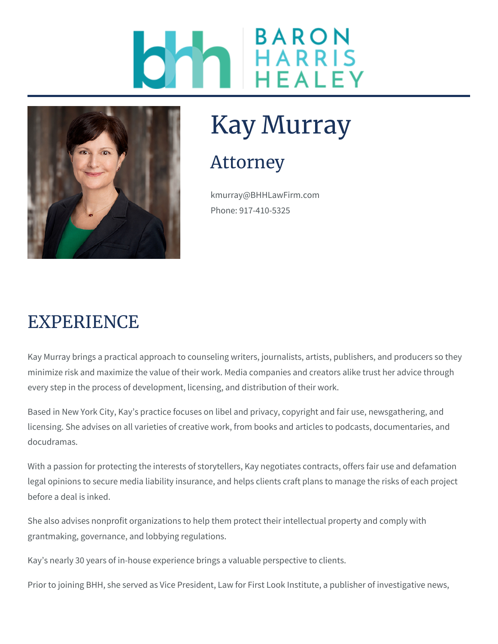



# Kay Murray

### Attorney

kmurray@BHHLawFirm.com Phone: 917-410-5325

### EXPERIENCE

Kay Murray brings a practical approach to counseling writers, journalists, artists, publishers, and producers so they minimize risk and maximize the value of their work. Media companies and creators alike trust her advice through every step in the process of development, licensing, and distribution of their work.

Based in New York City, Kay's practice focuses on libel and privacy, copyright and fair use, newsgathering, and licensing. She advises on all varieties of creative work, from books and articles to podcasts, documentaries, and docudramas.

With a passion for protecting the interests of storytellers, Kay negotiates contracts, offers fair use and defamation legal opinions to secure media liability insurance, and helps clients craft plans to manage the risks of each project before a deal is inked.

She also advises nonprofit organizations to help them protect their intellectual property and comply with grantmaking, governance, and lobbying regulations.

Kay's nearly 30 years of in-house experience brings a valuable perspective to clients.

Prior to joining BHH, she served as Vice President, Law for First Look Institute, a publisher of investigative news,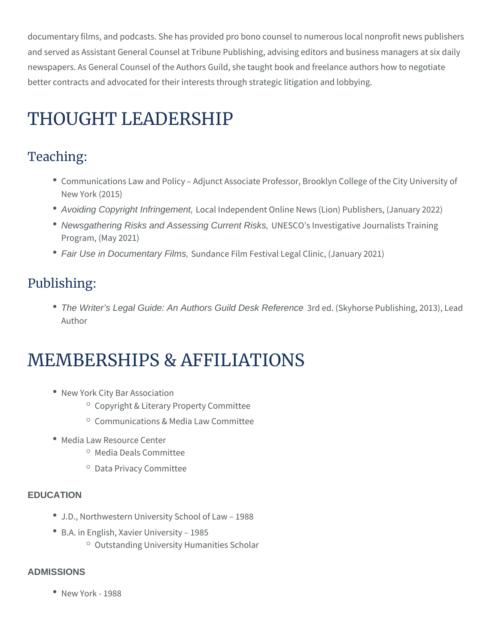documentary films, and podcasts. She has provided pro bono counsel to numerous local nonprofit news publishers and served as Assistant General Counsel at Tribune Publishing, advising editors and business managers at six daily newspapers. As General Counsel of the Authors Guild, she taught book and freelance authors how to negotiate better contracts and advocated for their interests through strategic litigation and lobbying.

## THOUGHT LEADERSHIP

#### Teaching:

- Communications Law and Policy Adjunct Associate Professor, Brooklyn College of the City University of New York (2015)
- Avoiding Copyright Infringement, Local Independent Online News (Lion) Publishers, (January 2022)
- Newsgathering Risks and Assessing Current Risks, UNESCO's Investigative Journalists Training Program, (May 2021)
- Fair Use in Documentary Films, Sundance Film Festival Legal Clinic, (January 2021)

#### Publishing:

• The Writer's Legal Guide: An Authors Guild Desk Reference 3rd ed. (Skyhorse Publishing, 2013), Lead Author

## MEMBERSHIPS & AFFILIATIONS

- New York City Bar Association
	- $\circ$  Copyright & Literary Property Committee
	- $\circ$  Communications & Media Law Committee
- Media Law Resource Center
	- <sup>o</sup> Media Deals Committee
	- <sup>o</sup> Data Privacy Committee

#### **EDUCATION**

- J.D., Northwestern University School of Law 1988
- B.A. in English, Xavier University 1985
	- $\circ$  Outstanding University Humanities Scholar

#### **ADMISSIONS**

New York - 1988